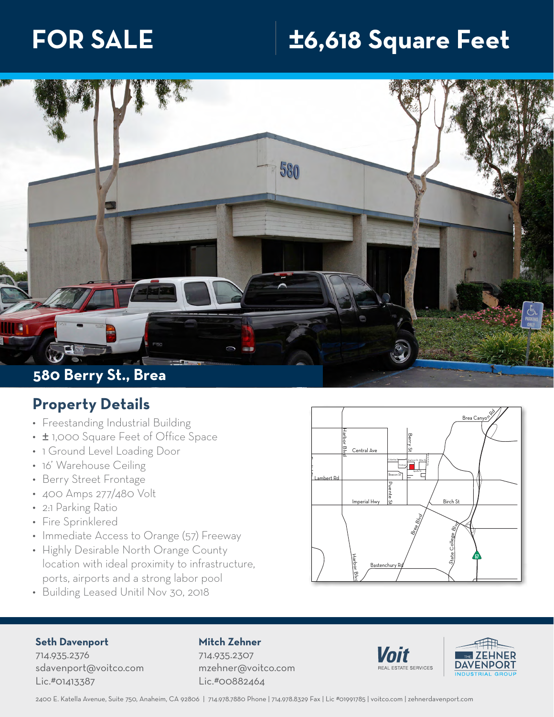# **FOR SALE ±6,618 Square Feet**



## **Property Details**

- Freestanding Industrial Building
- ± 1,000 Square Feet of Office Space
- 1 Ground Level Loading Door
- 16' Warehouse Ceiling
- Berry Street Frontage
- 400 Amps 277/480 Volt
- 2:1 Parking Ratio
- Fire Sprinklered
- Immediate Access to Orange (57) Freeway
- Highly Desirable North Orange County location with ideal proximity to infrastructure, ports, airports and a strong labor pool
- Building Leased Unitil Nov 30, 2018



### **Seth Davenport**

714.935.2376 sdavenport@voitco.com Lic.#01413387

### **Mitch Zehner**

714.935.2307 mzehner@voitco.com Lic.#00882464





2400 E. Katella Avenue, Suite 750, Anaheim, CA 92806 | 714.978.7880 Phone | 714.978.8329 Fax | Lic #01991785 | voitco.com | zehnerdavenport.com